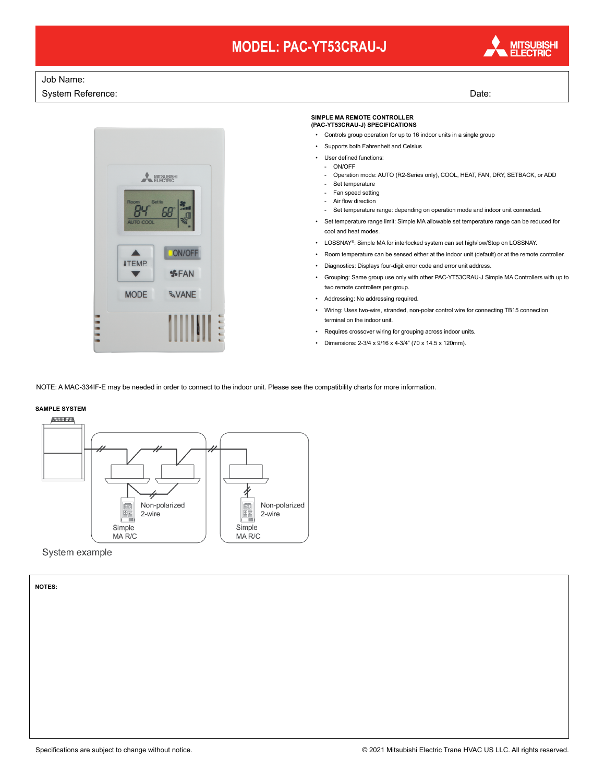# **MODEL: PAC-YT53CRAU-J**



### Job Name:

System Reference: Date: Date: Date: Date: Date: Date: Date: Date: Date: Date: Date: Date: Date: Date: Date: Date: Date: Date: Date: Date: Date: Date: Date: Date: Date: Date: Date: Date: Date: Date: Date: Date: Date: Date:



#### **SIMPLE MA REMOTE CONTROLLER (PAC-YT53CRAU-J) SPECIFICATIONS**

- Controls group operation for up to 16 indoor units in a single group
- Supports both Fahrenheit and Celsius
- 
- User defined functions: ON/OFF
	- Operation mode: AUTO (R2-Series only), COOL, HEAT, FAN, DRY, SETBACK, or ADD
	- Set temperature
	- Fan speed setting
	- Air flow direction
	- Set temperature range: depending on operation mode and indoor unit connected.
- Set temperature range limit: Simple MA allowable set temperature range can be reduced for cool and heat modes.
- LOSSNAY®: Simple MA for interlocked system can set high/low/Stop on LOSSNAY.
- Room temperature can be sensed either at the indoor unit (default) or at the remote controller.
- Diagnostics: Displays four-digit error code and error unit address.
- Grouping: Same group use only with other PAC-YT53CRAU-J Simple MA Controllers with up to two remote controllers per group.
- Addressing: No addressing required.
- Wiring: Uses two-wire, stranded, non-polar control wire for connecting TB15 connection terminal on the indoor unit.
- Requires crossover wiring for grouping across indoor units.
- Dimensions: 2-3/4 x 9/16 x 4-3/4" (70 x 14.5 x 120mm).

NOTE: A MAC-334IF-E may be needed in order to connect to the indoor unit. Please see the compatibility charts for more information.

### **SAMPLE SYSTEM**



#### System example